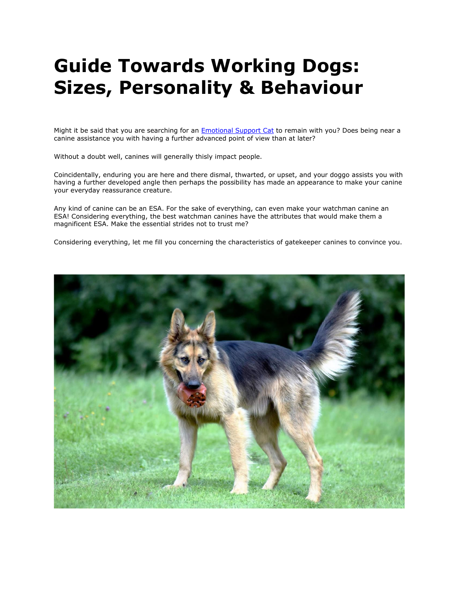# **Guide Towards Working Dogs: Sizes, Personality & Behaviour**

Might it be said that you are searching for an [Emotional Support Cat](https://myesaletter.net/emotional-support-cat) to remain with you? Does being near a canine assistance you with having a further advanced point of view than at later?

Without a doubt well, canines will generally thisly impact people.

Coincidentally, enduring you are here and there dismal, thwarted, or upset, and your doggo assists you with having a further developed angle then perhaps the possibility has made an appearance to make your canine your everyday reassurance creature.

Any kind of canine can be an ESA. For the sake of everything, can even make your watchman canine an ESA! Considering everything, the best watchman canines have the attributes that would make them a magnificent ESA. Make the essential strides not to trust me?

Considering everything, let me fill you concerning the characteristics of gatekeeper canines to convince you.

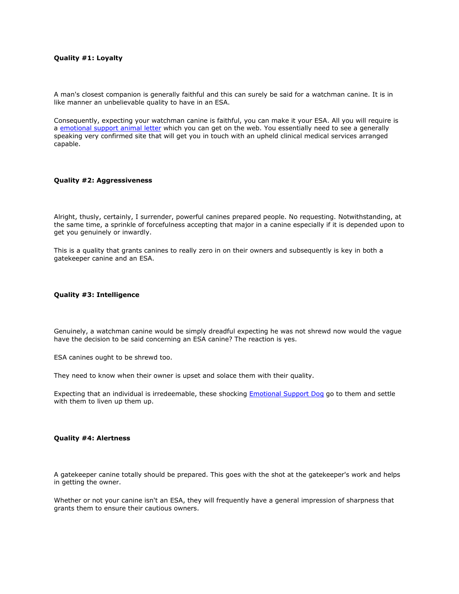# **Quality #1: Loyalty**

A man's closest companion is generally faithful and this can surely be said for a watchman canine. It is in like manner an unbelievable quality to have in an ESA.

Consequently, expecting your watchman canine is faithful, you can make it your ESA. All you will require is a [emotional support animal](https://myesaletter.net/) letter which you can get on the web. You essentially need to see a generally speaking very confirmed site that will get you in touch with an upheld clinical medical services arranged capable.

## **Quality #2: Aggressiveness**

Alright, thusly, certainly, I surrender, powerful canines prepared people. No requesting. Notwithstanding, at the same time, a sprinkle of forcefulness accepting that major in a canine especially if it is depended upon to get you genuinely or inwardly.

This is a quality that grants canines to really zero in on their owners and subsequently is key in both a gatekeeper canine and an ESA.

#### **Quality #3: Intelligence**

Genuinely, a watchman canine would be simply dreadful expecting he was not shrewd now would the vague have the decision to be said concerning an ESA canine? The reaction is yes.

ESA canines ought to be shrewd too.

They need to know when their owner is upset and solace them with their quality.

Expecting that an individual is irredeemable, these shocking [Emotional Support Dog](https://myesaletter.net/emotional-support-dog) go to them and settle with them to liven up them up.

#### **Quality #4: Alertness**

A gatekeeper canine totally should be prepared. This goes with the shot at the gatekeeper's work and helps in getting the owner.

Whether or not your canine isn't an ESA, they will frequently have a general impression of sharpness that grants them to ensure their cautious owners.